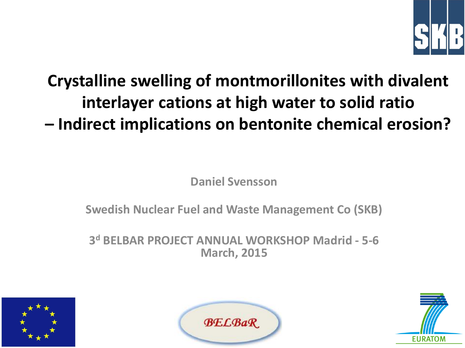

# **Crystalline swelling of montmorillonites with divalent interlayer cations at high water to solid ratio – Indirect implications on bentonite chemical erosion?**

**Daniel Svensson**

**Swedish Nuclear Fuel and Waste Management Co (SKB)**

**3 <sup>d</sup> BELBAR PROJECT ANNUAL WORKSHOP Madrid - 5-6 March, 2015**





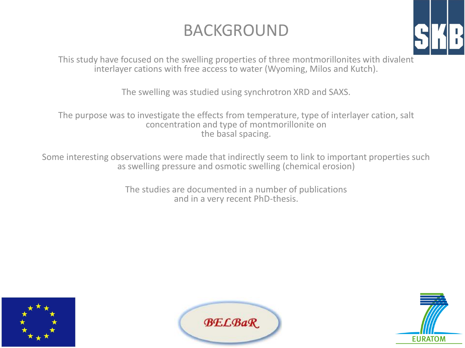#### BACKGROUND



This study have focused on the swelling properties of three montmorillonites with divalent interlayer cations with free access to water (Wyoming, Milos and Kutch).

The swelling was studied using synchrotron XRD and SAXS.

The purpose was to investigate the effects from temperature, type of interlayer cation, salt concentration and type of montmorillonite on the basal spacing.

Some interesting observations were made that indirectly seem to link to important properties such as swelling pressure and osmotic swelling (chemical erosion)

> The studies are documented in a number of publications and in a very recent PhD-thesis.





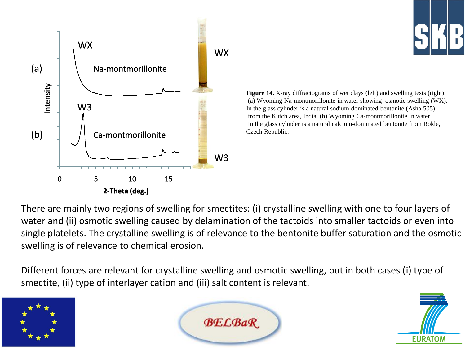



**Figure 14.** X-ray diffractograms of wet clays (left) and swelling tests (right). (a) Wyoming Na-montmorillonite in water showing osmotic swelling (WX). In the glass cylinder is a natural sodium-dominated bentonite (Asha 505) from the Kutch area, India. (b) Wyoming Ca-montmorillonite in water. In the glass cylinder is a natural calcium-dominated bentonite from Rokle, Czech Republic.

There are mainly two regions of swelling for smectites: (i) crystalline swelling with one to four layers of water and (ii) osmotic swelling caused by delamination of the tactoids into smaller tactoids or even into single platelets. The crystalline swelling is of relevance to the bentonite buffer saturation and the osmotic swelling is of relevance to chemical erosion.

Different forces are relevant for crystalline swelling and osmotic swelling, but in both cases (i) type of smectite, (ii) type of interlayer cation and (iii) salt content is relevant.





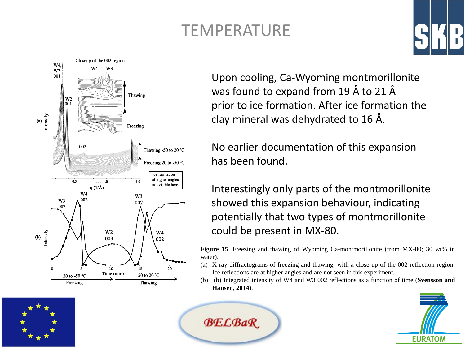## TEMPERATURE

**BELBaR** 



Upon cooling, Ca-Wyoming montmorillonite was found to expand from 19 Å to 21 Å prior to ice formation. After ice formation the clay mineral was dehydrated to 16 Å.

No earlier documentation of this expansion has been found.

Interestingly only parts of the montmorillonite showed this expansion behaviour, indicating potentially that two types of montmorillonite could be present in MX-80.

**Figure 15**. Freezing and thawing of Wyoming Ca-montmorillonite (from MX-80; 30 wt% in water).

- (a) X-ray diffractograms of freezing and thawing, with a close-up of the 002 reflection region. Ice reflections are at higher angles and are not seen in this experiment.
- (b) (b) Integrated intensity of W4 and W3 002 reflections as a function of time (**Svensson and Hansen, 2014**).



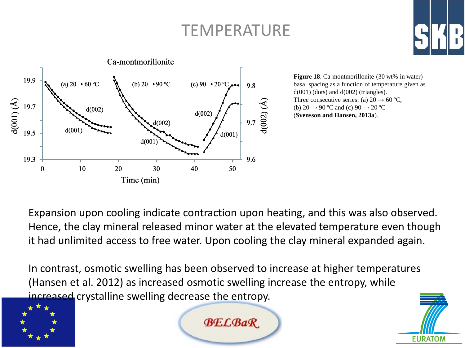#### TEMPERATURE



**Figure 18**. Ca-montmorillonite (30 wt% in water) basal spacing as a function of temperature given as  $d(001)$  (dots) and  $d(002)$  (triangles). Three consecutive series: (a)  $20 \rightarrow 60$  °C, (b) 20  $\rightarrow$  90 °C and (c) 90  $\rightarrow$  20 °C (**Svensson and Hansen, 2013a**).

Expansion upon cooling indicate contraction upon heating, and this was also observed. Hence, the clay mineral released minor water at the elevated temperature even though it had unlimited access to free water. Upon cooling the clay mineral expanded again.

In contrast, osmotic swelling has been observed to increase at higher temperatures (Hansen et al. 2012) as increased osmotic swelling increase the entropy, while increased crystalline swelling decrease the entropy.





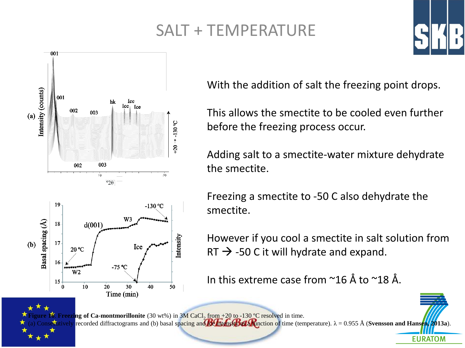## SALT + TEMPERATURE



**Figure 16**. Freezing of Ca-montmorillonite (30 wt%) in 3M CaCl<sub>2</sub> from +20 to -130 °C resolved in time.

With the addition of salt the freezing point drops.

This allows the smectite to be cooled even further before the freezing process occur.

Adding salt to a smectite-water mixture dehydrate the smectite.

Freezing a smectite to -50 C also dehydrate the smectite.

However if you cool a smectite in salt solution from RT  $\rightarrow$  -50 C it will hydrate and expand.

In this extreme case from ~16 Å to ~18 Å.

 $\frac{1}{2}$ cutively recorded diffractograms and (b) basal spacing and ice intensity as a function of time (temperature).  $\lambda = 0.955 \text{ Å}$  (**Svensson and Hansen**, 2013a). **EURATOM**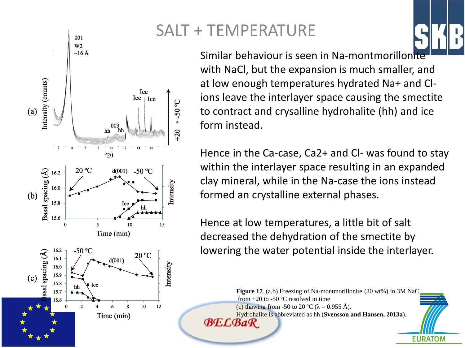

# SALT + TEMPERATURE

Similar behaviour is seen in Na-montmorillonite with NaCl, but the expansion is much smaller, and at low enough temperatures hydrated Na+ and Clions leave the interlayer space causing the smectite to contract and crysalline hydrohalite (hh) and ice form instead.

Hence in the Ca-case, Ca2+ and Cl- was found to stay within the interlayer space resulting in an expanded clay mineral, while in the Na-case the ions instead formed an crystalline external phases.

Hence at low temperatures, a little bit of salt decreased the dehydration of the smectite by lowering the water potential inside the interlayer.

**Figure 17**. (a,b) Freezing of Na-montmorillonite (30 wt%) in 3M NaC from  $+20$  to  $-50$  °C resolved in time (c) thawing from -50 to 20 °C ( $\lambda$  = 0.955 Å). Hydrohalite is abbreviated as hh (**Svensson and Hansen, 2013a**). **BE.L.BaR** 

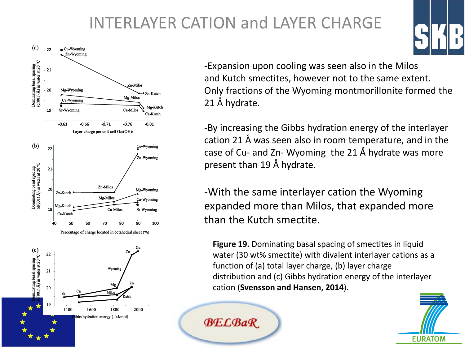## INTERLAYER CATION and LAYER CHARGE



-Expansion upon cooling was seen also in the Milos and Kutch smectites, however not to the same extent. Only fractions of the Wyoming montmorillonite formed the 21 Å hydrate.

-By increasing the Gibbs hydration energy of the interlayer cation 21 Å was seen also in room temperature, and in the case of Cu- and Zn- Wyoming the 21 Å hydrate was more present than 19 Å hydrate.

-With the same interlayer cation the Wyoming expanded more than Milos, that expanded more than the Kutch smectite.

**Figure 19.** Dominating basal spacing of smectites in liquid water (30 wt% smectite) with divalent interlayer cations as a function of (a) total layer charge, (b) layer charge distribution and (c) Gibbs hydration energy of the interlayer cation (**Svensson and Hansen, 2014**).



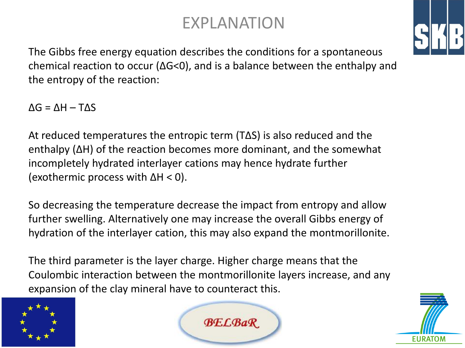#### EXPLANATION



The Gibbs free energy equation describes the conditions for a spontaneous chemical reaction to occur (ΔG<0), and is a balance between the enthalpy and the entropy of the reaction:

 $\Delta G = \Delta H - T \Delta S$ 

At reduced temperatures the entropic term (TΔS) is also reduced and the enthalpy (ΔH) of the reaction becomes more dominant, and the somewhat incompletely hydrated interlayer cations may hence hydrate further (exothermic process with  $\Delta H < 0$ ).

So decreasing the temperature decrease the impact from entropy and allow further swelling. Alternatively one may increase the overall Gibbs energy of hydration of the interlayer cation, this may also expand the montmorillonite.

The third parameter is the layer charge. Higher charge means that the Coulombic interaction between the montmorillonite layers increase, and any expansion of the clay mineral have to counteract this.





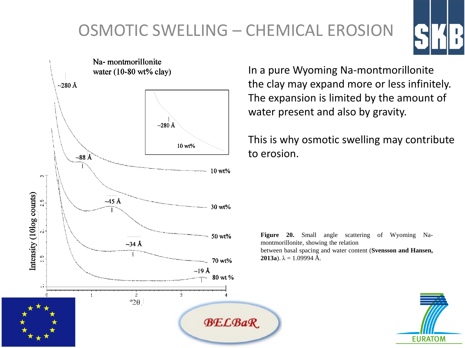# OSMOTIC SWELLING – CHEMICAL EROSION





In a pure Wyoming Na-montmorillonite the clay may expand more or less infinitely. The expansion is limited by the amount of water present and also by gravity.

This is why osmotic swelling may contribute to erosion.

**Figure 20.** Small angle scattering of Wyoming Namontmorillonite, showing the relation between basal spacing and water content (**Svensson and Hansen, 2013a**).  $\lambda = 1.09994 \text{ Å}.$ 

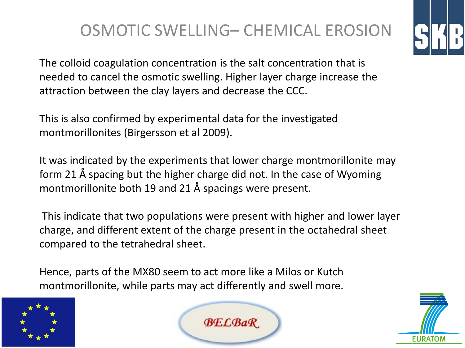### OSMOTIC SWELLING– CHEMICAL EROSION

The colloid coagulation concentration is the salt concentration that is needed to cancel the osmotic swelling. Higher layer charge increase the attraction between the clay layers and decrease the CCC.

This is also confirmed by experimental data for the investigated montmorillonites (Birgersson et al 2009).

It was indicated by the experiments that lower charge montmorillonite may form 21 Å spacing but the higher charge did not. In the case of Wyoming montmorillonite both 19 and 21 Å spacings were present.

This indicate that two populations were present with higher and lower layer charge, and different extent of the charge present in the octahedral sheet compared to the tetrahedral sheet.

Hence, parts of the MX80 seem to act more like a Milos or Kutch montmorillonite, while parts may act differently and swell more.





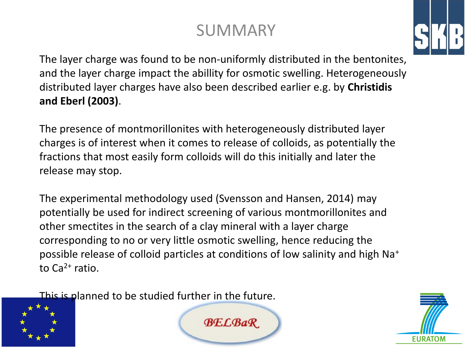## SUMMARY



The layer charge was found to be non-uniformly distributed in the bentonites, and the layer charge impact the abillity for osmotic swelling. Heterogeneously distributed layer charges have also been described earlier e.g. by **Christidis and Eberl (2003)**.

The presence of montmorillonites with heterogeneously distributed layer charges is of interest when it comes to release of colloids, as potentially the fractions that most easily form colloids will do this initially and later the release may stop.

The experimental methodology used (Svensson and Hansen, 2014) may potentially be used for indirect screening of various montmorillonites and other smectites in the search of a clay mineral with a layer charge corresponding to no or very little osmotic swelling, hence reducing the possible release of colloid particles at conditions of low salinity and high Na<sup>+</sup> to  $Ca^{2+}$  ratio.

This is planned to be studied further in the future.